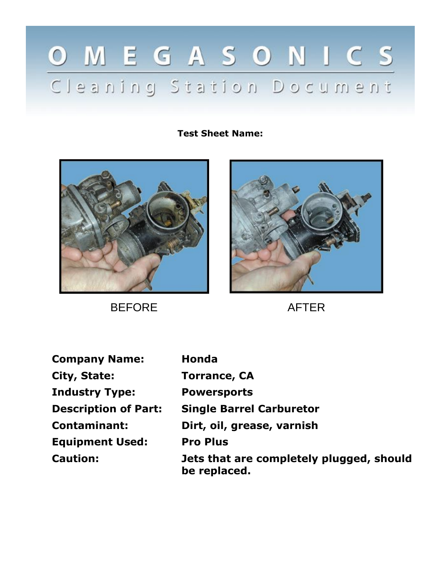## OMEGASONICS Cleaning Station Document

**Test Sheet Name:**



BEFORE AFTER



| <b>Company Name:</b>        | <b>Honda</b>                                             |
|-----------------------------|----------------------------------------------------------|
| City, State:                | <b>Torrance, CA</b>                                      |
| <b>Industry Type:</b>       | <b>Powersports</b>                                       |
| <b>Description of Part:</b> | <b>Single Barrel Carburetor</b>                          |
| <b>Contaminant:</b>         | Dirt, oil, grease, varnish                               |
| <b>Equipment Used:</b>      | <b>Pro Plus</b>                                          |
| <b>Caution:</b>             | Jets that are completely plugged, should<br>be replaced. |